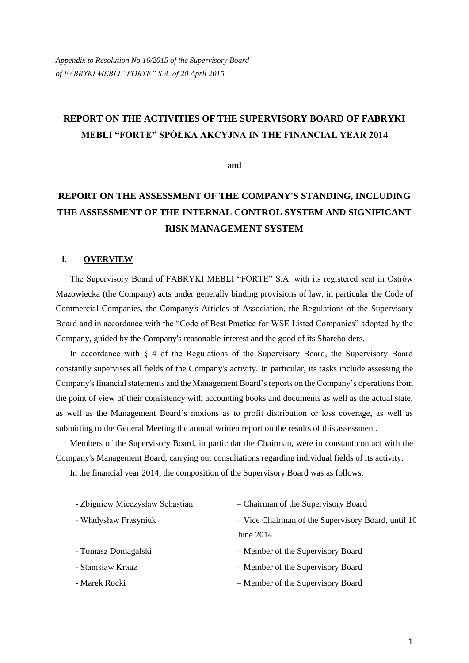# **REPORT ON THE ACTIVITIES OF THE SUPERVISORY BOARD OF FABRYKI MEBLI "FORTE" SPÓŁKA AKCYJNA IN THE FINANCIAL YEAR 2014**

**and**

# **REPORT ON THE ASSESSMENT OF THE COMPANY'S STANDING, INCLUDING THE ASSESSMENT OF THE INTERNAL CONTROL SYSTEM AND SIGNIFICANT RISK MANAGEMENT SYSTEM**

#### **I. OVERVIEW**

The Supervisory Board of FABRYKI MEBLI "FORTE" S.A. with its registered seat in Ostrów Mazowiecka (the Company) acts under generally binding provisions of law, in particular the Code of Commercial Companies, the Company's Articles of Association, the Regulations of the Supervisory Board and in accordance with the "Code of Best Practice for WSE Listed Companies" adopted by the Company, guided by the Company's reasonable interest and the good of its Shareholders.

In accordance with § 4 of the Regulations of the Supervisory Board, the Supervisory Board constantly supervises all fields of the Company's activity. In particular, its tasks include assessing the Company's financial statements and the Management Board's reports on the Company's operations from the point of view of their consistency with accounting books and documents as well as the actual state, as well as the Management Board's motions as to profit distribution or loss coverage, as well as submitting to the General Meeting the annual written report on the results of this assessment.

Members of the Supervisory Board, in particular the Chairman, were in constant contact with the Company's Management Board, carrying out consultations regarding individual fields of its activity.

In the financial year 2014, the composition of the Supervisory Board was as follows:

| - Zbigniew Mieczysław Sebastian | - Chairman of the Supervisory Board                |
|---------------------------------|----------------------------------------------------|
| - Władysław Frasyniuk           | - Vice Chairman of the Supervisory Board, until 10 |
|                                 | June 2014                                          |
| - Tomasz Domagalski             | - Member of the Supervisory Board                  |
| - Stanisław Krauz               | - Member of the Supervisory Board                  |
| - Marek Rocki                   | - Member of the Supervisory Board                  |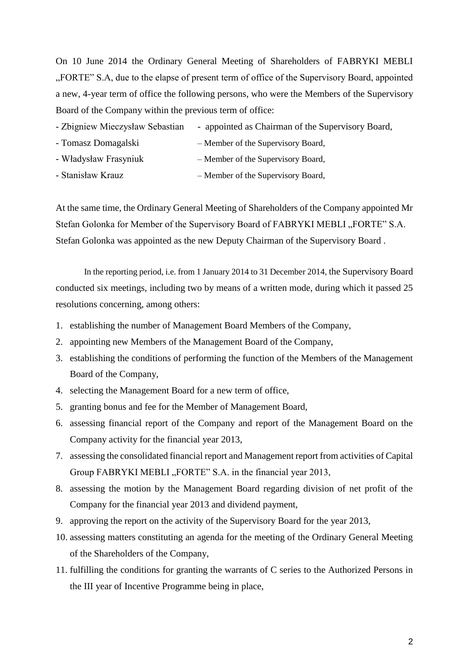On 10 June 2014 the Ordinary General Meeting of Shareholders of FABRYKI MEBLI "FORTE" S.A, due to the elapse of present term of office of the Supervisory Board, appointed a new, 4-year term of office the following persons, who were the Members of the Supervisory Board of the Company within the previous term of office:

- Zbigniew Mieczysław Sebastian appointed as Chairman of the Supervisory Board,
- Tomasz Domagalski Member of the Supervisory Board,
- Władysław Frasyniuk Member of the Supervisory Board,
- Stanisław Krauz Member of the Supervisory Board,

At the same time, the Ordinary General Meeting of Shareholders of the Company appointed Mr Stefan Golonka for Member of the Supervisory Board of FABRYKI MEBLI "FORTE" S.A. Stefan Golonka was appointed as the new Deputy Chairman of the Supervisory Board .

In the reporting period, i.e. from 1 January 2014 to 31 December 2014, the Supervisory Board conducted six meetings, including two by means of a written mode, during which it passed 25 resolutions concerning, among others:

- 1. establishing the number of Management Board Members of the Company,
- 2. appointing new Members of the Management Board of the Company,
- 3. establishing the conditions of performing the function of the Members of the Management Board of the Company,
- 4. selecting the Management Board for a new term of office,
- 5. granting bonus and fee for the Member of Management Board,
- 6. assessing financial report of the Company and report of the Management Board on the Company activity for the financial year 2013,
- 7. assessing the consolidated financial report and Management report from activities of Capital Group FABRYKI MEBLI "FORTE" S.A. in the financial year 2013,
- 8. assessing the motion by the Management Board regarding division of net profit of the Company for the financial year 2013 and dividend payment,
- 9. approving the report on the activity of the Supervisory Board for the year 2013,
- 10. assessing matters constituting an agenda for the meeting of the Ordinary General Meeting of the Shareholders of the Company,
- 11. fulfilling the conditions for granting the warrants of C series to the Authorized Persons in the III year of Incentive Programme being in place,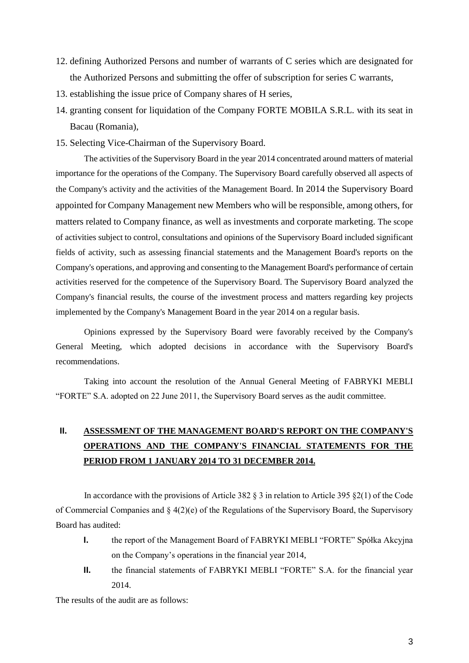- 12. defining Authorized Persons and number of warrants of C series which are designated for the Authorized Persons and submitting the offer of subscription for series C warrants,
- 13. establishing the issue price of Company shares of H series,
- 14. granting consent for liquidation of the Company FORTE MOBILA S.R.L. with its seat in Bacau (Romania),
- 15. Selecting Vice-Chairman of the Supervisory Board.

The activities of the Supervisory Board in the year 2014 concentrated around matters of material importance for the operations of the Company. The Supervisory Board carefully observed all aspects of the Company's activity and the activities of the Management Board. In 2014 the Supervisory Board appointed for Company Management new Members who will be responsible, among others, for matters related to Company finance, as well as investments and corporate marketing. The scope of activities subject to control, consultations and opinions of the Supervisory Board included significant fields of activity, such as assessing financial statements and the Management Board's reports on the Company's operations, and approving and consenting to the Management Board's performance of certain activities reserved for the competence of the Supervisory Board. The Supervisory Board analyzed the Company's financial results, the course of the investment process and matters regarding key projects implemented by the Company's Management Board in the year 2014 on a regular basis.

Opinions expressed by the Supervisory Board were favorably received by the Company's General Meeting, which adopted decisions in accordance with the Supervisory Board's recommendations.

Taking into account the resolution of the Annual General Meeting of FABRYKI MEBLI "FORTE" S.A. adopted on 22 June 2011, the Supervisory Board serves as the audit committee.

## **II. ASSESSMENT OF THE MANAGEMENT BOARD'S REPORT ON THE COMPANY'S OPERATIONS AND THE COMPANY'S FINANCIAL STATEMENTS FOR THE PERIOD FROM 1 JANUARY 2014 TO 31 DECEMBER 2014.**

In accordance with the provisions of Article 382  $\S$  3 in relation to Article 395  $\S$ 2(1) of the Code of Commercial Companies and  $\S 4(2)(e)$  of the Regulations of the Supervisory Board, the Supervisory Board has audited:

- **I.** the report of the Management Board of FABRYKI MEBLI "FORTE" Spółka Akcyjna on the Company's operations in the financial year 2014,
- **II.** the financial statements of FABRYKI MEBLI "FORTE" S.A. for the financial year 2014.

The results of the audit are as follows: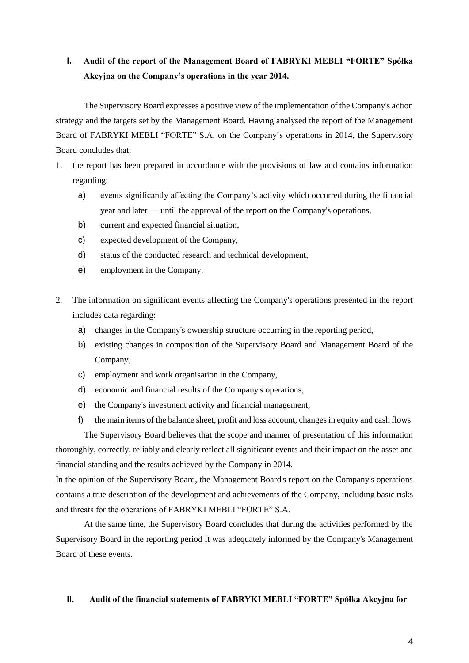### **I. Audit of the report of the Management Board of FABRYKI MEBLI "FORTE" Spółka Akcyjna on the Company's operations in the year 2014.**

The Supervisory Board expresses a positive view of the implementation of the Company's action strategy and the targets set by the Management Board. Having analysed the report of the Management Board of FABRYKI MEBLI "FORTE" S.A. on the Company's operations in 2014, the Supervisory Board concludes that:

- 1. the report has been prepared in accordance with the provisions of law and contains information regarding:
	- a) events significantly affecting the Company's activity which occurred during the financial year and later — until the approval of the report on the Company's operations,
	- b) current and expected financial situation,
	- c) expected development of the Company,
	- d) status of the conducted research and technical development,
	- e) employment in the Company.
- 2. The information on significant events affecting the Company's operations presented in the report includes data regarding:
	- a) changes in the Company's ownership structure occurring in the reporting period,
	- b) existing changes in composition of the Supervisory Board and Management Board of the Company,
	- c) employment and work organisation in the Company,
	- d) economic and financial results of the Company's operations,
	- e) the Company's investment activity and financial management,
	- f) the main items of the balance sheet, profit and loss account, changes in equity and cash flows.

The Supervisory Board believes that the scope and manner of presentation of this information thoroughly, correctly, reliably and clearly reflect all significant events and their impact on the asset and financial standing and the results achieved by the Company in 2014.

In the opinion of the Supervisory Board, the Management Board's report on the Company's operations contains a true description of the development and achievements of the Company, including basic risks and threats for the operations of FABRYKI MEBLI "FORTE" S.A.

At the same time, the Supervisory Board concludes that during the activities performed by the Supervisory Board in the reporting period it was adequately informed by the Company's Management Board of these events.

#### **II. Audit of the financial statements of FABRYKI MEBLI "FORTE" Spółka Akcyjna for**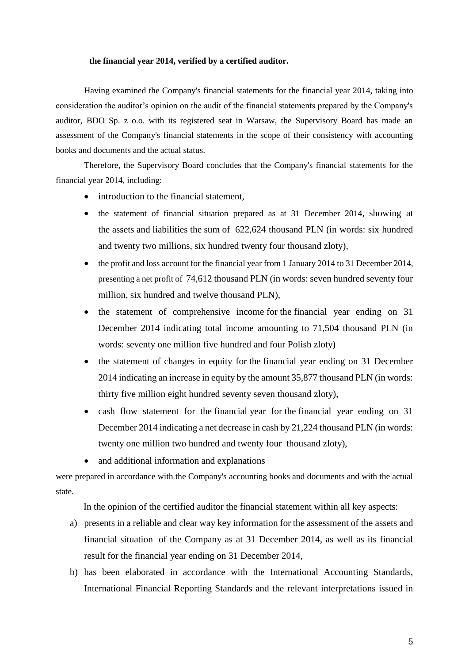#### **the financial year 2014, verified by a certified auditor.**

Having examined the Company's financial statements for the financial year 2014, taking into consideration the auditor's opinion on the audit of the financial statements prepared by the Company's auditor, BDO Sp. z o.o. with its registered seat in Warsaw, the Supervisory Board has made an assessment of the Company's financial statements in the scope of their consistency with accounting books and documents and the actual status.

Therefore, the Supervisory Board concludes that the Company's financial statements for the financial year 2014, including:

- introduction to the financial statement.
- the statement of financial situation prepared as at 31 December 2014, showing at the assets and liabilities the sum of 622,624 thousand PLN (in words: six hundred and twenty two millions, six hundred twenty four thousand zloty),
- the profit and loss account for the financial year from 1 January 2014 to 31 December 2014, presenting a net profit of 74,612 thousand PLN (in words: seven hundred seventy four million, six hundred and twelve thousand PLN),
- the statement of comprehensive income for the financial year ending on 31 December 2014 indicating total income amounting to 71,504 thousand PLN (in words: seventy one million five hundred and four Polish zloty)
- the statement of changes in equity for the financial year ending on 31 December 2014 indicating an increase in equity by the amount 35,877 thousand PLN (in words: thirty five million eight hundred seventy seven thousand zloty),
- cash flow statement for the financial year for the financial year ending on 31 December 2014 indicating a net decrease in cash by 21,224 thousand PLN (in words: twenty one million two hundred and twenty four thousand zloty),
- and additional information and explanations

were prepared in accordance with the Company's accounting books and documents and with the actual state.

In the opinion of the certified auditor the financial statement within all key aspects:

- a) presents in a reliable and clear way key information for the assessment of the assets and financial situation of the Company as at 31 December 2014, as well as its financial result for the financial year ending on 31 December 2014,
- b) has been elaborated in accordance with the International Accounting Standards, International Financial Reporting Standards and the relevant interpretations issued in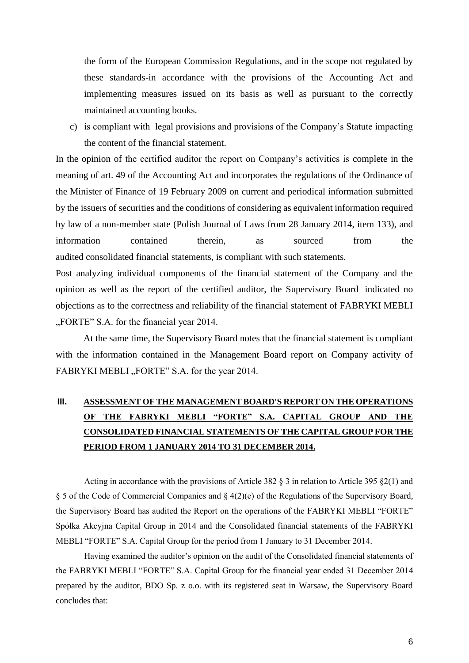the form of the European Commission Regulations, and in the scope not regulated by these standards-in accordance with the provisions of the Accounting Act and implementing measures issued on its basis as well as pursuant to the correctly maintained accounting books.

c) is compliant with legal provisions and provisions of the Company's Statute impacting the content of the financial statement.

In the opinion of the certified auditor the report on Company's activities is complete in the meaning of art. 49 of the Accounting Act and incorporates the regulations of the Ordinance of the Minister of Finance of 19 February 2009 on current and periodical information submitted by the issuers of securities and the conditions of considering as equivalent information required by law of a non-member state (Polish Journal of Laws from 28 January 2014, item 133), and information contained therein, as sourced from the audited consolidated financial statements, is compliant with such statements.

Post analyzing individual components of the financial statement of the Company and the opinion as well as the report of the certified auditor, the Supervisory Board indicated no objections as to the correctness and reliability of the financial statement of FABRYKI MEBLI "FORTE" S.A. for the financial year 2014.

At the same time, the Supervisory Board notes that the financial statement is compliant with the information contained in the Management Board report on Company activity of FABRYKI MEBLI "FORTE" S.A. for the year 2014.

# **III. ASSESSMENT OF THE MANAGEMENT BOARD'S REPORT ON THE OPERATIONS OF THE FABRYKI MEBLI "FORTE" S.A. CAPITAL GROUP AND THE CONSOLIDATED FINANCIAL STATEMENTS OF THE CAPITAL GROUP FOR THE PERIOD FROM 1 JANUARY 2014 TO 31 DECEMBER 2014.**

Acting in accordance with the provisions of Article 382  $\S$  3 in relation to Article 395  $\S$ 2(1) and § 5 of the Code of Commercial Companies and § 4(2)(e) of the Regulations of the Supervisory Board, the Supervisory Board has audited the Report on the operations of the FABRYKI MEBLI "FORTE" Spółka Akcyjna Capital Group in 2014 and the Consolidated financial statements of the FABRYKI MEBLI "FORTE" S.A. Capital Group for the period from 1 January to 31 December 2014.

Having examined the auditor's opinion on the audit of the Consolidated financial statements of the FABRYKI MEBLI "FORTE" S.A. Capital Group for the financial year ended 31 December 2014 prepared by the auditor, BDO Sp. z o.o. with its registered seat in Warsaw, the Supervisory Board concludes that: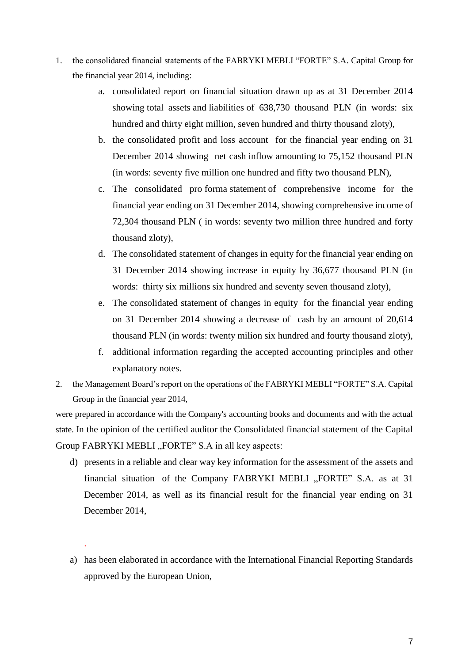- 1. the consolidated financial statements of the FABRYKI MEBLI "FORTE" S.A. Capital Group for the financial year 2014, including:
	- a. consolidated report on financial situation drawn up as at 31 December 2014 showing total assets and liabilities of 638,730 thousand PLN (in words: six hundred and thirty eight million, seven hundred and thirty thousand zloty),
	- b. the consolidated profit and loss account for the financial year ending on 31 December 2014 showing net cash inflow amounting to 75,152 thousand PLN (in words: seventy five million one hundred and fifty two thousand PLN),
	- c. The consolidated pro forma statement of comprehensive income for the financial year ending on 31 December 2014, showing comprehensive income of 72,304 thousand PLN ( in words: seventy two million three hundred and forty thousand zloty),
	- d. The consolidated statement of changes in equity for the financial year ending on 31 December 2014 showing increase in equity by 36,677 thousand PLN (in words: thirty six millions six hundred and seventy seven thousand zloty),
	- e. The consolidated statement of changes in equity for the financial year ending on 31 December 2014 showing a decrease of cash by an amount of 20,614 thousand PLN (in words: twenty milion six hundred and fourty thousand zloty),
	- f. additional information regarding the accepted accounting principles and other explanatory notes.
- 2. the Management Board's report on the operations of the FABRYKI MEBLI "FORTE" S.A. Capital Group in the financial year 2014,

were prepared in accordance with the Company's accounting books and documents and with the actual state. In the opinion of the certified auditor the Consolidated financial statement of the Capital Group FABRYKI MEBLI "FORTE" S.A in all key aspects:

- d) presents in a reliable and clear way key information for the assessment of the assets and financial situation of the Company FABRYKI MEBLI "FORTE" S.A. as at 31 December 2014, as well as its financial result for the financial year ending on 31 December 2014,
- a) has been elaborated in accordance with the International Financial Reporting Standards approved by the European Union,

.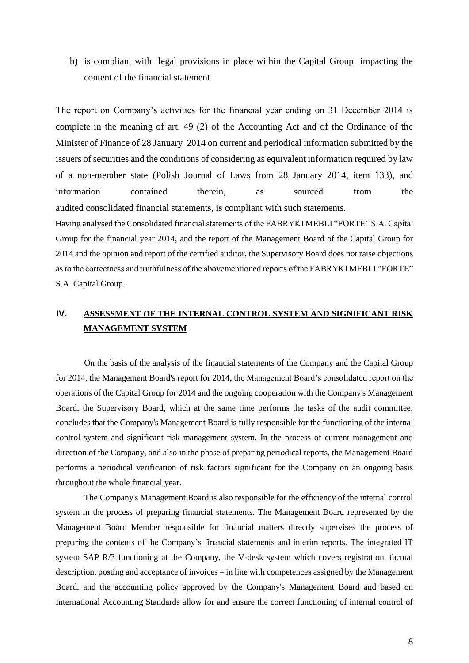b) is compliant with legal provisions in place within the Capital Group impacting the content of the financial statement.

The report on Company's activities for the financial year ending on 31 December 2014 is complete in the meaning of art. 49 (2) of the Accounting Act and of the Ordinance of the Minister of Finance of 28 January 2014 on current and periodical information submitted by the issuers of securities and the conditions of considering as equivalent information required by law of a non-member state (Polish Journal of Laws from 28 January 2014, item 133), and information contained therein, as sourced from the audited consolidated financial statements, is compliant with such statements. Having analysed the Consolidated financial statements of the FABRYKI MEBLI "FORTE" S.A. Capital

Group for the financial year 2014, and the report of the Management Board of the Capital Group for 2014 and the opinion and report of the certified auditor, the Supervisory Board does not raise objections as to the correctness and truthfulness of the abovementioned reports of the FABRYKI MEBLI "FORTE" S.A. Capital Group.

## **IV. ASSESSMENT OF THE INTERNAL CONTROL SYSTEM AND SIGNIFICANT RISK MANAGEMENT SYSTEM**

On the basis of the analysis of the financial statements of the Company and the Capital Group for 2014, the Management Board's report for 2014, the Management Board's consolidated report on the operations of the Capital Group for 2014 and the ongoing cooperation with the Company's Management Board, the Supervisory Board, which at the same time performs the tasks of the audit committee, concludes that the Company's Management Board is fully responsible for the functioning of the internal control system and significant risk management system. In the process of current management and direction of the Company, and also in the phase of preparing periodical reports, the Management Board performs a periodical verification of risk factors significant for the Company on an ongoing basis throughout the whole financial year.

The Company's Management Board is also responsible for the efficiency of the internal control system in the process of preparing financial statements. The Management Board represented by the Management Board Member responsible for financial matters directly supervises the process of preparing the contents of the Company's financial statements and interim reports. The integrated IT system SAP R/3 functioning at the Company, the V-desk system which covers registration, factual description, posting and acceptance of invoices – in line with competences assigned by the Management Board, and the accounting policy approved by the Company's Management Board and based on International Accounting Standards allow for and ensure the correct functioning of internal control of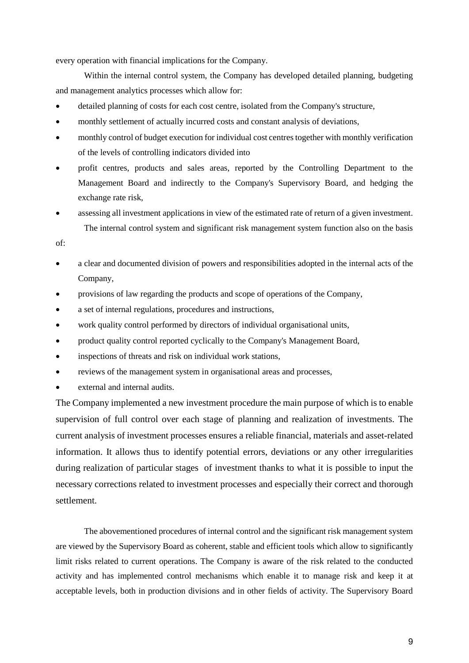every operation with financial implications for the Company.

Within the internal control system, the Company has developed detailed planning, budgeting and management analytics processes which allow for:

- detailed planning of costs for each cost centre, isolated from the Company's structure,
- monthly settlement of actually incurred costs and constant analysis of deviations,
- monthly control of budget execution for individual cost centres together with monthly verification of the levels of controlling indicators divided into
- profit centres, products and sales areas, reported by the Controlling Department to the Management Board and indirectly to the Company's Supervisory Board, and hedging the exchange rate risk,
- assessing all investment applications in view of the estimated rate of return of a given investment. The internal control system and significant risk management system function also on the basis

of:

- a clear and documented division of powers and responsibilities adopted in the internal acts of the Company,
- provisions of law regarding the products and scope of operations of the Company,
- a set of internal regulations, procedures and instructions,
- work quality control performed by directors of individual organisational units,
- product quality control reported cyclically to the Company's Management Board,
- inspections of threats and risk on individual work stations,
- reviews of the management system in organisational areas and processes,
- external and internal audits.

The Company implemented a new investment procedure the main purpose of which is to enable supervision of full control over each stage of planning and realization of investments. The current analysis of investment processes ensures a reliable financial, materials and asset-related information. It allows thus to identify potential errors, deviations or any other irregularities during realization of particular stages of investment thanks to what it is possible to input the necessary corrections related to investment processes and especially their correct and thorough settlement.

The abovementioned procedures of internal control and the significant risk management system are viewed by the Supervisory Board as coherent, stable and efficient tools which allow to significantly limit risks related to current operations. The Company is aware of the risk related to the conducted activity and has implemented control mechanisms which enable it to manage risk and keep it at acceptable levels, both in production divisions and in other fields of activity. The Supervisory Board